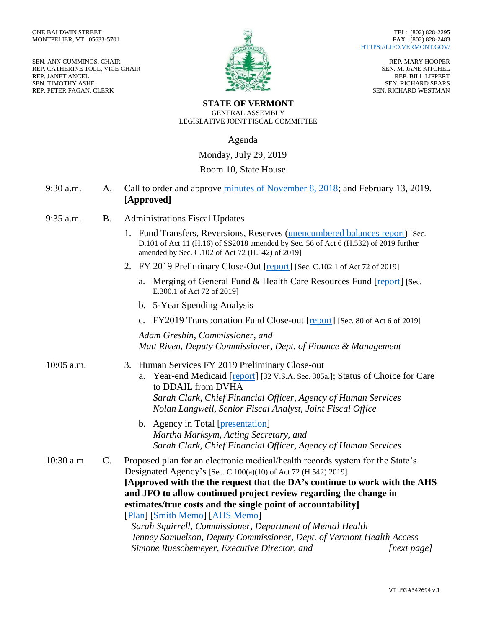SEN. ANN CUMMINGS, CHAIR REP. CATHERINE TOLL, VICE-CHAIR REP. JANET ANCEL SEN. TIMOTHY ASHE REP. PETER FAGAN, CLERK



REP. MARY HOOPER SEN. M. JANE KITCHEL REP. BILL LIPPERT SEN. RICHARD SEARS SEN. RICHARD WESTMAN

#### **STATE OF VERMONT** GENERAL ASSEMBLY LEGISLATIVE JOINT FISCAL COMMITTEE

Agenda

Monday, July 29, 2019

## Room 10, State House

- 9:30 a.m. A. Call to order and approve [minutes of November 8, 2018;](https://ljfo.vermont.gov/assets/Meetings/Joint-Fiscal-Committee/2019-07-29/b76797d563/2019_07_29_JFC_Minutes.pdf) and February 13, 2019. **[Approved]**
- 9:35 a.m. B. Administrations Fiscal Updates
	- 1. Fund Transfers, Reversions, Reserves [\(unencumbered balances](https://ljfo.vermont.gov/assets/Meetings/Joint-Fiscal-Committee/2019-07-29/884fda420e/Unencumbered-Balances-Report.pdf) report) [Sec. D.101 of Act 11 (H.16) of SS2018 amended by Sec. 56 of Act 6 (H.532) of 2019 further amended by Sec. C.102 of Act 72 (H.542) of 2019]
	- 2. FY 2019 Preliminary Close-Out [\[report\]](https://ljfo.vermont.gov/assets/Meetings/Joint-Fiscal-Committee/2019-07-29/9775987cd0/Unallocated-distributions-and-reserves-for-JFC-7-29-19-mtg.pdf) [Sec. C.102.1 of Act 72 of 2019]
		- a. Merging of General Fund & Health Care Resources Fund [\[report\]](https://ljfo.vermont.gov/assets/Meetings/Joint-Fiscal-Committee/2019-07-29/48e8dd8f16/B.2.a.HC_tax_worksheet_for_official_forecast_to_TJ.pdf) [Sec. E.300.1 of Act 72 of 2019]
		- b. 5-Year Spending Analysis
		- c. FY2019 Transportation Fund Close-out [\[report\]](https://ljfo.vermont.gov/assets/Meetings/Joint-Fiscal-Committee/2019-07-29/c21c09c673/AOT-Report-of-transfer-of-appropriations-7-12-2019.pdf) [Sec. 80 of Act 6 of 2019]

*Adam Greshin, Commissioner, and Matt Riven, Deputy Commissioner, Dept. of Finance & Management*

### 10:05 a.m. 3. Human Services FY 2019 Preliminary Close-out

- a. Year-end Medicaid [\[report\]](https://ljfo.vermont.gov/assets/Meetings/Joint-Fiscal-Committee/2019-07-29/ae1e9d5070/2019_Medicaid_Year_End_Report.pdf) [32 V.S.A. Sec. 305a.]; Status of Choice for Care to DDAIL from DVHA *Sarah Clark, Chief Financial Officer, Agency of Human Services Nolan Langweil, Senior Fiscal Analyst, Joint Fiscal Office*
- b. Agency in Total [\[presentation\]](https://ljfo.vermont.gov/assets/Meetings/Joint-Fiscal-Committee/2019-07-29/7469e0e221/AHS-Presentation-Final.pdf) *Martha Marksym, Acting Secretary, and Sarah Clark, Chief Financial Officer, Agency of Human Services*

10:30 a.m. C. Proposed plan for an electronic medical/health records system for the State's Designated Agency's [Sec. C.100(a)(10) of Act 72 (H.542) 2019] **[Approved with the the request that the DA's continue to work with the AHS and JFO to allow continued project review regarding the change in estimates/true costs and the single point of accountability]** [\[Plan\]](https://ljfo.vermont.gov/assets/Meetings/Joint-Fiscal-Committee/2019-07-29/09c4dc7caf/Electronic-Health-Records-Plan-VCP-and-AHS.pdf) [\[Smith Memo\]](https://ljfo.vermont.gov/assets/Meetings/Joint-Fiscal-Committee/2019-07-29/f5139e683d/Smith-Electronic-Health-Records-Project-Notes-DGS-v3.pdf) [\[AHS Memo\]](https://ljfo.vermont.gov/assets/Meetings/Joint-Fiscal-Committee/2019-07-29/4fdd0581bb/Designated-Agencies_Electronic-Medical-Records-AHS-Memo-07.26.pdf)

*Sarah Squirrell, Commissioner, Department of Mental Health Jenney Samuelson, Deputy Commissioner, Dept. of Vermont Health Access Simone Rueschemeyer, Executive Director, and [next page]*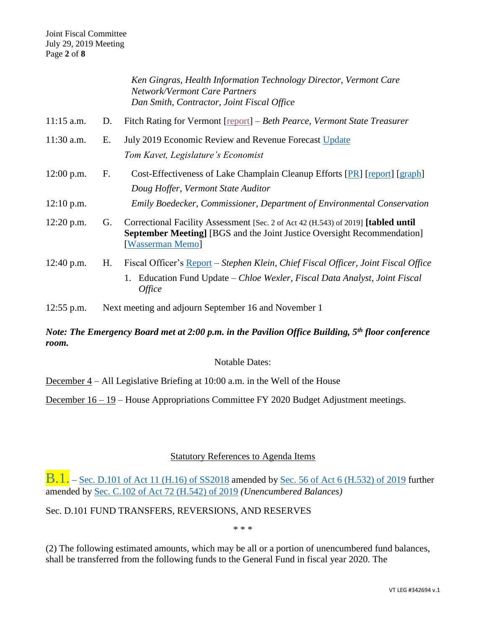|              |    | Ken Gingras, Health Information Technology Director, Vermont Care<br><b>Network/Vermont Care Partners</b><br>Dan Smith, Contractor, Joint Fiscal Office                                     |
|--------------|----|---------------------------------------------------------------------------------------------------------------------------------------------------------------------------------------------|
| $11:15$ a.m. | D. | Fitch Rating for Vermont [report] – Beth Pearce, Vermont State Treasurer                                                                                                                    |
| $11:30$ a.m. | Е. | July 2019 Economic Review and Revenue Forecast Update<br>Tom Kavet, Legislature's Economist                                                                                                 |
| $12:00$ p.m. | F. | Cost-Effectiveness of Lake Champlain Cleanup Efforts [PR] [report] [graph]<br>Doug Hoffer, Vermont State Auditor                                                                            |
| $12:10$ p.m. |    | Emily Boedecker, Commissioner, Department of Environmental Conservation                                                                                                                     |
| $12:20$ p.m. | G. | Correctional Facility Assessment [Sec. 2 of Act 42 (H.543) of 2019] [tabled until<br><b>September Meeting</b> [BGS and the Joint Justice Oversight Recommendation]<br>[Wasserman Memo]      |
| 12:40 p.m.   | H. | Fiscal Officer's Report - Stephen Klein, Chief Fiscal Officer, Joint Fiscal Office<br>Education Fund Update – Chloe Wexler, Fiscal Data Analyst, Joint Fiscal<br>1.<br><i><b>Office</b></i> |

12:55 p.m. Next meeting and adjourn September 16 and November 1

# *Note: The Emergency Board met at 2:00 p.m. in the Pavilion Office Building, 5th floor conference room.*

Notable Dates:

December 4 – All Legislative Briefing at 10:00 a.m. in the Well of the House

December 16 – 19 – House Appropriations Committee FY 2020 Budget Adjustment meetings.

## Statutory References to Agenda Items

**B.1.** – [Sec. D.101 of Act 11 \(H.16\) of SS2018](https://legislature.vermont.gov/Documents/2018.1/Docs/ACTS/ACT011/ACT011%20As%20Enacted.pdf) amended by [Sec. 56 of Act 6](https://legislature.vermont.gov/Documents/2020/Docs/ACTS/ACT006/ACT006%20As%20Enacted.pdf) (H.532) of 2019 further amended by [Sec. C.102 of Act 72 \(H.542\)](https://legislature.vermont.gov/Documents/2020/Docs/ACTS/ACT072/ACT072%20As%20Enacted.pdf) of 2019 *(Unencumbered Balances)*

Sec. D.101 FUND TRANSFERS, REVERSIONS, AND RESERVES

\* \* \*

(2) The following estimated amounts, which may be all or a portion of unencumbered fund balances, shall be transferred from the following funds to the General Fund in fiscal year 2020. The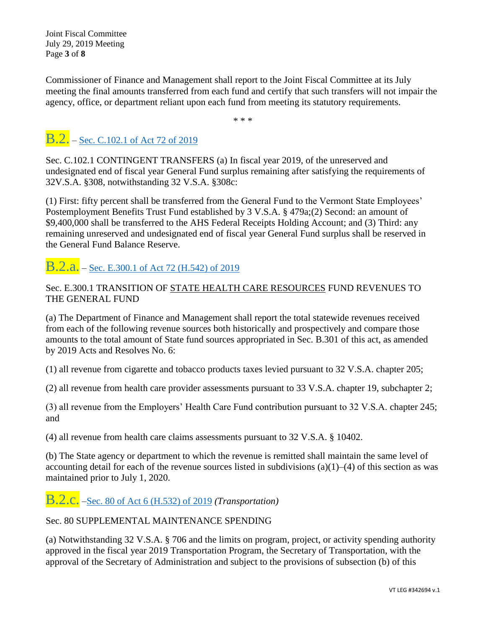Joint Fiscal Committee July 29, 2019 Meeting Page **3** of **8**

Commissioner of Finance and Management shall report to the Joint Fiscal Committee at its July meeting the final amounts transferred from each fund and certify that such transfers will not impair the agency, office, or department reliant upon each fund from meeting its statutory requirements.

\* \* \*

# **B.2.** – [Sec. C.102.1 of Act 72 of 2019](https://legislature.vermont.gov/Documents/2020/Docs/ACTS/ACT072/ACT072%20As%20Enacted.pdf)

Sec. C.102.1 CONTINGENT TRANSFERS (a) In fiscal year 2019, of the unreserved and undesignated end of fiscal year General Fund surplus remaining after satisfying the requirements of 32V.S.A. §308, notwithstanding 32 V.S.A. §308c:

(1) First: fifty percent shall be transferred from the General Fund to the Vermont State Employees' Postemployment Benefits Trust Fund established by 3 V.S.A. § 479a;(2) Second: an amount of \$9,400,000 shall be transferred to the AHS Federal Receipts Holding Account; and (3) Third: any remaining unreserved and undesignated end of fiscal year General Fund surplus shall be reserved in the General Fund Balance Reserve.

# B.2.a. – Sec. E.300.1 of [Act 72 \(H.542\) of 2019](https://legislature.vermont.gov/Documents/2020/Docs/ACTS/ACT072/ACT072%20As%20Enacted.pdf)

# Sec. E.300.1 TRANSITION OF STATE HEALTH CARE RESOURCES FUND REVENUES TO THE GENERAL FUND

(a) The Department of Finance and Management shall report the total statewide revenues received from each of the following revenue sources both historically and prospectively and compare those amounts to the total amount of State fund sources appropriated in Sec. B.301 of this act, as amended by 2019 Acts and Resolves No. 6:

(1) all revenue from cigarette and tobacco products taxes levied pursuant to 32 V.S.A. chapter 205;

(2) all revenue from health care provider assessments pursuant to 33 V.S.A. chapter 19, subchapter 2;

(3) all revenue from the Employers' Health Care Fund contribution pursuant to 32 V.S.A. chapter 245; and

(4) all revenue from health care claims assessments pursuant to 32 V.S.A. § 10402.

(b) The State agency or department to which the revenue is remitted shall maintain the same level of accounting detail for each of the revenue sources listed in subdivisions (a)(1)–(4) of this section as was maintained prior to July 1, 2020.

B.2.c. [–Sec. 80 of Act 6 \(H.532\) of 2019](https://legislature.vermont.gov/Documents/2020/Docs/ACTS/ACT006/ACT006%20As%20Enacted.pdf) *(Transportation)*

Sec. 80 SUPPLEMENTAL MAINTENANCE SPENDING

(a) Notwithstanding 32 V.S.A. § 706 and the limits on program, project, or activity spending authority approved in the fiscal year 2019 Transportation Program, the Secretary of Transportation, with the approval of the Secretary of Administration and subject to the provisions of subsection (b) of this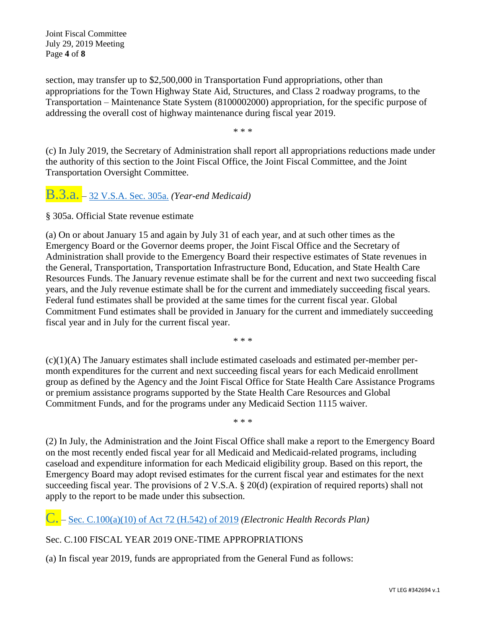Joint Fiscal Committee July 29, 2019 Meeting Page **4** of **8**

section, may transfer up to \$2,500,000 in Transportation Fund appropriations, other than appropriations for the Town Highway State Aid, Structures, and Class 2 roadway programs, to the Transportation – Maintenance State System (8100002000) appropriation, for the specific purpose of addressing the overall cost of highway maintenance during fiscal year 2019.

\* \* \*

(c) In July 2019, the Secretary of Administration shall report all appropriations reductions made under the authority of this section to the Joint Fiscal Office, the Joint Fiscal Committee, and the Joint Transportation Oversight Committee.

B.3.a. – [32 V.S.A. Sec. 305a.](https://legislature.vermont.gov/statutes/section/32/005/00305a) *(Year-end Medicaid)*

§ 305a. Official State revenue estimate

(a) On or about January 15 and again by July 31 of each year, and at such other times as the Emergency Board or the Governor deems proper, the Joint Fiscal Office and the Secretary of Administration shall provide to the Emergency Board their respective estimates of State revenues in the General, Transportation, Transportation Infrastructure Bond, Education, and State Health Care Resources Funds. The January revenue estimate shall be for the current and next two succeeding fiscal years, and the July revenue estimate shall be for the current and immediately succeeding fiscal years. Federal fund estimates shall be provided at the same times for the current fiscal year. Global Commitment Fund estimates shall be provided in January for the current and immediately succeeding fiscal year and in July for the current fiscal year.

\* \* \*

(c)(1)(A) The January estimates shall include estimated caseloads and estimated per-member permonth expenditures for the current and next succeeding fiscal years for each Medicaid enrollment group as defined by the Agency and the Joint Fiscal Office for State Health Care Assistance Programs or premium assistance programs supported by the State Health Care Resources and Global Commitment Funds, and for the programs under any Medicaid Section 1115 waiver.

\* \* \*

(2) In July, the Administration and the Joint Fiscal Office shall make a report to the Emergency Board on the most recently ended fiscal year for all Medicaid and Medicaid-related programs, including caseload and expenditure information for each Medicaid eligibility group. Based on this report, the Emergency Board may adopt revised estimates for the current fiscal year and estimates for the next succeeding fiscal year. The provisions of 2 V.S.A. § 20(d) (expiration of required reports) shall not apply to the report to be made under this subsection.

C. – [Sec. C.100\(a\)\(10\) of Act 72 \(H.542\)](https://legislature.vermont.gov/Documents/2020/Docs/ACTS/ACT072/ACT072%20As%20Enacted.pdf) of 2019 *(Electronic Health Records Plan)*

## Sec. C.100 FISCAL YEAR 2019 ONE-TIME APPROPRIATIONS

(a) In fiscal year 2019, funds are appropriated from the General Fund as follows: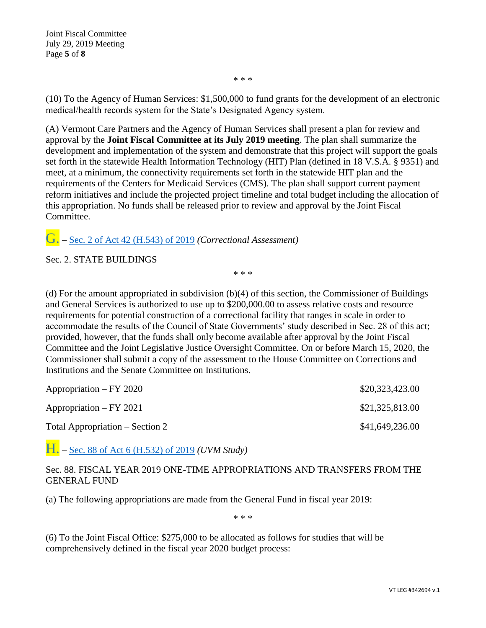Joint Fiscal Committee July 29, 2019 Meeting Page **5** of **8**

\* \* \*

(10) To the Agency of Human Services: \$1,500,000 to fund grants for the development of an electronic medical/health records system for the State's Designated Agency system.

(A) Vermont Care Partners and the Agency of Human Services shall present a plan for review and approval by the **Joint Fiscal Committee at its July 2019 meeting**. The plan shall summarize the development and implementation of the system and demonstrate that this project will support the goals set forth in the statewide Health Information Technology (HIT) Plan (defined in 18 V.S.A. § 9351) and meet, at a minimum, the connectivity requirements set forth in the statewide HIT plan and the requirements of the Centers for Medicaid Services (CMS). The plan shall support current payment reform initiatives and include the projected project timeline and total budget including the allocation of this appropriation. No funds shall be released prior to review and approval by the Joint Fiscal Committee.

G. – [Sec. 2 of Act 42 \(H.543\) of 2019](https://legislature.vermont.gov/Documents/2020/Docs/ACTS/ACT042/ACT042%20As%20Enacted.pdf) *(Correctional Assessment)*

Sec. 2. STATE BUILDINGS

\* \* \*

(d) For the amount appropriated in subdivision (b)(4) of this section, the Commissioner of Buildings and General Services is authorized to use up to \$200,000.00 to assess relative costs and resource requirements for potential construction of a correctional facility that ranges in scale in order to accommodate the results of the Council of State Governments' study described in Sec. 28 of this act; provided, however, that the funds shall only become available after approval by the Joint Fiscal Committee and the Joint Legislative Justice Oversight Committee. On or before March 15, 2020, the Commissioner shall submit a copy of the assessment to the House Committee on Corrections and Institutions and the Senate Committee on Institutions.

| $Approxation - FY 2020$         | \$20,323,423.00 |
|---------------------------------|-----------------|
| $Approxation - FY 2021$         | \$21,325,813.00 |
| Total Appropriation – Section 2 | \$41,649,236.00 |

H. – [Sec. 88 of Act 6 \(H.532\) of 2019](https://legislature.vermont.gov/Documents/2020/Docs/ACTS/ACT006/ACT006%20As%20Enacted.pdf) *(UVM Study)*

Sec. 88. FISCAL YEAR 2019 ONE-TIME APPROPRIATIONS AND TRANSFERS FROM THE GENERAL FUND

(a) The following appropriations are made from the General Fund in fiscal year 2019:

\* \* \*

(6) To the Joint Fiscal Office: \$275,000 to be allocated as follows for studies that will be comprehensively defined in the fiscal year 2020 budget process: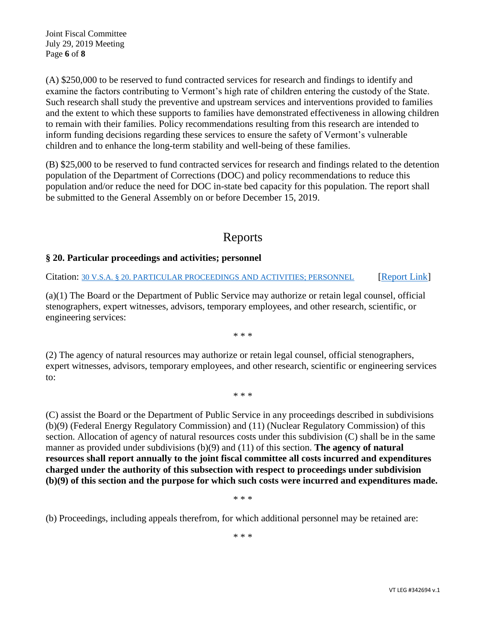Joint Fiscal Committee July 29, 2019 Meeting Page **6** of **8**

(A) \$250,000 to be reserved to fund contracted services for research and findings to identify and examine the factors contributing to Vermont's high rate of children entering the custody of the State. Such research shall study the preventive and upstream services and interventions provided to families and the extent to which these supports to families have demonstrated effectiveness in allowing children to remain with their families. Policy recommendations resulting from this research are intended to inform funding decisions regarding these services to ensure the safety of Vermont's vulnerable children and to enhance the long-term stability and well-being of these families.

(B) \$25,000 to be reserved to fund contracted services for research and findings related to the detention population of the Department of Corrections (DOC) and policy recommendations to reduce this population and/or reduce the need for DOC in-state bed capacity for this population. The report shall be submitted to the General Assembly on or before December 15, 2019.

# Reports

## **§ 20. Particular proceedings and activities; personnel**

Citation: [30 V.S.A. § 20. PARTICULAR PROCEEDINGS AND ACTIVITIES; PERSONNEL](https://legislature.vermont.gov/statutes/section/30/001/00020) [\[Report Link\]](https://ljfo.vermont.gov/assets/Meetings/Joint-Fiscal-Committee/2019-07-29/d3b8333236/ANR-FY-2019-FERC_NRC-JFiscal-report.pdf)

(a)(1) The Board or the Department of Public Service may authorize or retain legal counsel, official stenographers, expert witnesses, advisors, temporary employees, and other research, scientific, or engineering services:

\* \* \*

(2) The agency of natural resources may authorize or retain legal counsel, official stenographers, expert witnesses, advisors, temporary employees, and other research, scientific or engineering services to:

\* \* \*

(C) assist the Board or the Department of Public Service in any proceedings described in subdivisions (b)(9) (Federal Energy Regulatory Commission) and (11) (Nuclear Regulatory Commission) of this section. Allocation of agency of natural resources costs under this subdivision (C) shall be in the same manner as provided under subdivisions (b)(9) and (11) of this section. **The agency of natural resources shall report annually to the joint fiscal committee all costs incurred and expenditures charged under the authority of this subsection with respect to proceedings under subdivision (b)(9) of this section and the purpose for which such costs were incurred and expenditures made.**

\* \* \*

(b) Proceedings, including appeals therefrom, for which additional personnel may be retained are:

\* \* \*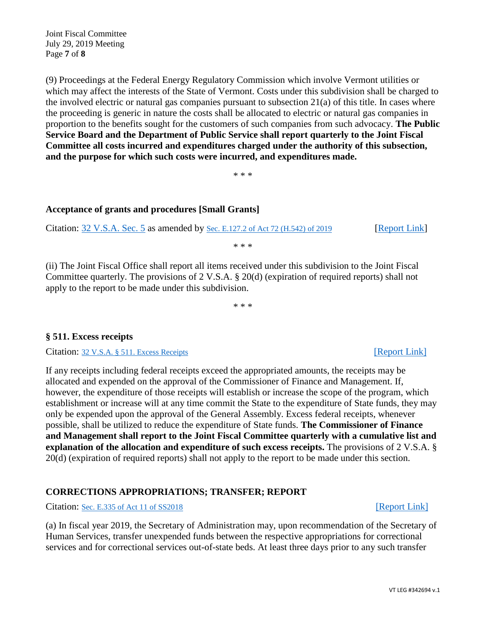Joint Fiscal Committee July 29, 2019 Meeting Page **7** of **8**

(9) Proceedings at the Federal Energy Regulatory Commission which involve Vermont utilities or which may affect the interests of the State of Vermont. Costs under this subdivision shall be charged to the involved electric or natural gas companies pursuant to subsection 21(a) of this title. In cases where the proceeding is generic in nature the costs shall be allocated to electric or natural gas companies in proportion to the benefits sought for the customers of such companies from such advocacy. **The Public Service Board and the Department of Public Service shall report quarterly to the Joint Fiscal Committee all costs incurred and expenditures charged under the authority of this subsection, and the purpose for which such costs were incurred, and expenditures made.**

\* \* \*

### **Acceptance of grants and procedures [Small Grants]**

Citation: [32 V.S.A. Sec. 5](https://legislature.vermont.gov/statutes/section/32/001/00005) as amended by [Sec. E.127.2 of Act 72 \(H.542\)](https://legislature.vermont.gov/Documents/2020/Docs/ACTS/ACT072/ACT072%20As%20Enacted.pdf) of 2019 [\[Report Link\]](https://ljfo.vermont.gov/assets/Meetings/Joint-Fiscal-Committee/2019-07-29/ae00164d0b/Small-Grants-Quarterly-report-Q2-4-FY19.pdf)

\* \* \*

(ii) The Joint Fiscal Office shall report all items received under this subdivision to the Joint Fiscal Committee quarterly. The provisions of 2 V.S.A. § 20(d) (expiration of required reports) shall not apply to the report to be made under this subdivision.

\* \* \*

## **§ 511. Excess receipts**

Citation: [32 V.S.A. § 511. Excess Receipts](https://legislature.vermont.gov/statutes/section/32/007/00511) [\[Report](https://ljfo.vermont.gov/assets/Meetings/Joint-Fiscal-Committee/2019-07-29/07d7843503/Excess-Receipts-Report-32-VSA-Sec-511.pdf) Link]

If any receipts including federal receipts exceed the appropriated amounts, the receipts may be allocated and expended on the approval of the Commissioner of Finance and Management. If, however, the expenditure of those receipts will establish or increase the scope of the program, which establishment or increase will at any time commit the State to the expenditure of State funds, they may only be expended upon the approval of the General Assembly. Excess federal receipts, whenever possible, shall be utilized to reduce the expenditure of State funds. **The Commissioner of Finance and Management shall report to the Joint Fiscal Committee quarterly with a cumulative list and explanation of the allocation and expenditure of such excess receipts.** The provisions of 2 V.S.A. § 20(d) (expiration of required reports) shall not apply to the report to be made under this section.

## **CORRECTIONS APPROPRIATIONS; TRANSFER; REPORT**

Citation: [Sec. E.335 of Act 11](https://legislature.vermont.gov/Documents/2018.1/Docs/ACTS/ACT011/ACT011%20As%20Enacted.pdf) of SS2018 [\[Report Link\]](https://ljfo.vermont.gov/assets/Uploads/0d82d5c7e7/Out-of-State-Beds-Transfer-of-Funds-DOC.pdf)

(a) In fiscal year 2019, the Secretary of Administration may, upon recommendation of the Secretary of Human Services, transfer unexpended funds between the respective appropriations for correctional services and for correctional services out-of-state beds. At least three days prior to any such transfer